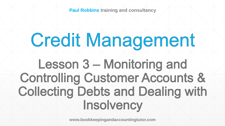# **Credit Management**

## Lesson 3 – Monitoring and Controlling Customer Accounts & **Collecting Debts and Dealing with** Insolvency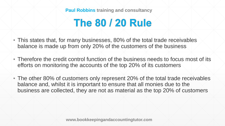## **The 30 / 20 Rule**

- **This states that, for many businesses, 80% of the total trade receivables** balance is made up from only 20% of the customers of the business
- Therefore the credit control function of the business needs to focus most of its efforts on monitoring the accounts of the top 20% of its customers
- The other 80% of customers only represent 20% of the total trade receivables balance and, whilst it is important to ensure that all monies due to the business are collected, they are not as material as the top 20% of customers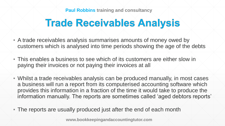#### **Trade Receivables Analysis**

- **A trade receivables analysis summarises amounts of money owed by** customers which is analysed into time periods showing the age of the debts
- This enables a business to see which of its customers are either slow in paying their invoices or not paying their invoices at all
- Whilst a trade receivables analysis can be produced manually, in most cases a business will run a report from its computerised accounting software which provides this information in a fraction of the time it would take to produce the information manually. The reports are sometimes called 'aged debtors reports'
- The reports are usually produced just after the end of each month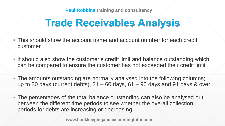## **Trade Receivables Analysis**

- This should show the account name and account number for each credit customer
- It should also show the customer's credit limit and balance outstanding which can be compared to ensure the customer has not exceeded their credit limit
- The amounts outstanding are normally analysed into the following columns; up to 30 days (current debts), 31 – 60 days, 61 – 90 days and 91 days & over
- The percentages of the total balance outstanding can also be analysed out between the different time periods to see whether the overall collection periods for debts are increasing or decreasing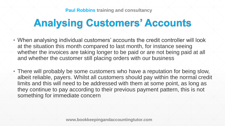## **Analysing Customers' Accounts**

- When analysing individual customers' accounts the credit controller will look at the situation this month compared to last month, for instance seeing whether the invoices are taking longer to be paid or are not being paid at all and whether the customer still placing orders with our business
- There will probably be some customers who have a reputation for being slow, albeit reliable, payers. Whilst all customers should pay within the normal credit limits and this will need to be addressed with them at some point, as long as they continue to pay according to their previous payment pattern, this is not something for immediate concern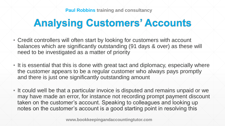## **Analysing Customers' Accounts**

- Credit controllers will often start by looking for customers with account balances which are significantly outstanding (91 days & over) as these will need to be investigated as a matter of priority
- **.** It is essential that this is done with great tact and diplomacy, especially where the customer appears to be a regular customer who always pays promptly and there is just one significantly outstanding amount
- **If could well be that a particular invoice is disputed and remains unpaid or we** may have made an error, for instance not recording prompt payment discount taken on the customer's account. Speaking to colleagues and looking up notes on the customer's account is a good starting point in resolving this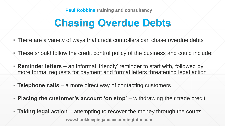## **Chasing Overdue Debts**

- **There are a variety of ways that credit controllers can chase overdue debts**
- These should follow the credit control policy of the business and could include:
- **Reminder letters**  an informal 'friendly' reminder to start with, followed by more formal requests for payment and formal letters threatening legal action
- **Example 11 Felephone calls** a more direct way of contacting customers
- **Placing the customer's account 'on stop'** withdrawing their trade credit
- **Taking legal action**  attempting to recover the money through the courts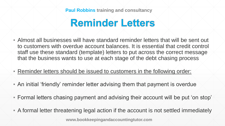#### **Reminder Letters**

- Almost all businesses will have standard reminder letters that will be sent out to customers with overdue account balances. It is essential that credit control staff use these standard (template) letters to put across the correct message that the business wants to use at each stage of the debt chasing process
- Reminder letters should be issued to customers in the following order:
- **An initial 'friendly' reminder letter advising them that payment is overdue**
- Formal letters chasing payment and advising their account will be put 'on stop'
- **A formal letter threatening legal action if the account is not settled immediately**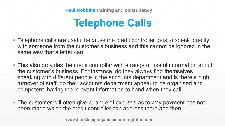#### **Telephone Calls**

- Telephone calls are useful because the credit controller gets to speak directly with someone from the customer's business and this cannot be ignored in the same way that a letter can
- This also provides the credit controller with a range of useful information about the customer's business. For instance, do they always find themselves speaking with different people in the accounts department and is there a high turnover of staff, do their accounts department appear to be organised and competent, having the relevant information to hand when they call
- The customer will often give a range of excuses as to why payment has not been made which the credit controller can address there and then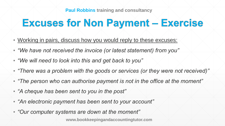## **Excuses for Non Payment - Exercise**

- . Working in pairs, discuss how you would reply to these excuses:
- *"We have not received the invoice (or latest statement) from you"*
- *"We will need to look into this and get back to you"*
- *"There was a problem with the goods or services (or they were not received)"*
- *"The person who can authorise payment is not in the office at the moment"*
- *"A cheque has been sent to you in the post"*
- *"An electronic payment has been sent to your account"*
- *"Our computer systems are down at the moment"*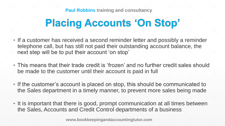## **Placing Accounts 'On Stop'**

- If a customer has received a second reminder letter and possibly a reminder telephone call, but has still not paid their outstanding account balance, the next step will be to put their account 'on stop'
- This means that their trade credit is 'frozen' and no further credit sales should be made to the customer until their account is paid in full
- If the customer's account is placed on stop, this should be communicated to the Sales department in a timely manner, to prevent more sales being made
- **.** It is important that there is good, prompt communication at all times between the Sales, Accounts and Credit Control departments of a business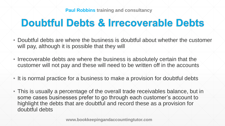## **Doubtful Debts & Irrecoverable Debts**

- Doubtful debts are where the business is doubtful about whether the customer will pay, although it is possible that they will
- Irrecoverable debts are where the business is absolutely certain that the customer will not pay and these will need to be written off in the accounts
- It is normal practice for a business to make a provision for doubtful debts
- This is usually a percentage of the overall trade receivables balance, but in some cases businesses prefer to go through each customer's account to highlight the debts that are doubtful and record these as a provision for doubtful debts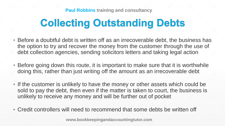## **Collecting Outstanding Debts**

- Before a doubtful debt is written off as an irrecoverable debt, the business has the option to try and recover the money from the customer through the use of debt collection agencies, sending solicitors letters and taking legal action
- **EXA** Before going down this route, it is important to make sure that it is worthwhile doing this, rather than just writing off the amount as an irrecoverable debt
- If the customer is unlikely to have the money or other assets which could be sold to pay the debt, then even if the matter is taken to court, the business is unlikely to receive any money and will be further out of pocket
- Credit controllers will need to recommend that some debts be written off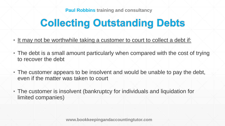## **Collecting Outstanding Debts**

- It may not be worthwhile taking a customer to court to collect a debt if:
- **The debt is a small amount particularly when compared with the cost of trying** to recover the debt
- $\blacksquare$  The customer appears to be insolvent and would be unable to pay the debt, even if the matter was taken to court
- The customer is insolvent (bankruptcy for individuals and liquidation for limited companies)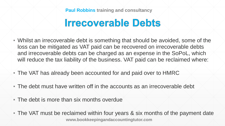#### **Irrecoverable Debts**

- Whilst an irrecoverable debt is something that should be avoided, some of the loss can be mitigated as VAT paid can be recovered on irrecoverable debts and irrecoverable debts can be charged as an expense in the SoPoL, which will reduce the tax liability of the business. VAT paid can be reclaimed where:
- **The VAT has already been accounted for and paid over to HMRC**
- The debt must have written off in the accounts as an irrecoverable debt
- **The debt is more than six months overdue**
- **www.bookkeepingandaccountingtutor.com** • The VAT must be reclaimed within four years & six months of the payment date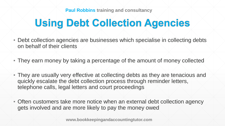## **Using Debt Collection Agencies**

- Debt collection agencies are businesses which specialise in collecting debts on behalf of their clients
- They earn money by taking a percentage of the amount of money collected
- They are usually very effective at collecting debts as they are tenacious and quickly escalate the debt collection process through reminder letters, telephone calls, legal letters and court proceedings
- Often customers take more notice when an external debt collection agency gets involved and are more likely to pay the money owed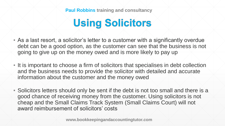## **Using Solicitors**

- As a last resort, a solicitor's letter to a customer with a significantly overdue debt can be a good option, as the customer can see that the business is not going to give up on the money owed and is more likely to pay up
- It is important to choose a firm of solicitors that specialises in debt collection and the business needs to provide the solicitor with detailed and accurate information about the customer and the money owed
- Solicitors letters should only be sent if the debt is not too small and there is a good chance of receiving money from the customer. Using solicitors is not cheap and the Small Claims Track System (Small Claims Court) will not award reimbursement of solicitors' costs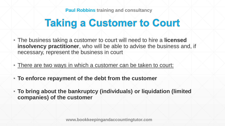## **Taking a Customer to Court**

- The business taking a customer to court will need to hire a **licensed insolvency practitioner**, who will be able to advise the business and, if necessary, represent the business in court
- **There are two ways in which a customer can be taken to court:**
- **To enforce repayment of the debt from the customer**
- **To bring about the bankruptcy (individuals) or liquidation (limited companies) of the customer**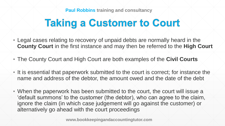## **Taking a Customer to Court**

- Legal cases relating to recovery of unpaid debts are normally heard in the **County Court** in the first instance and may then be referred to the **High Court**
- The County Court and High Court are both examples of the **Civil Courts**
- It is essential that paperwork submitted to the court is correct; for instance the name and address of the debtor, the amount owed and the date of the debt
- When the paperwork has been submitted to the court, the court will issue a 'default summons' to the customer (the debtor), who can agree to the claim, ignore the claim (in which case judgement will go against the customer) or alternatively go ahead with the court proceedings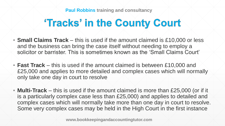## 'Tracks' in the County Court

- **Small Claims Track**  this is used if the amount claimed is £10,000 or less and the business can bring the case itself without needing to employ a solicitor or barrister. This is sometimes known as the 'Small Claims Court'
- **Fast Track**  this is used if the amount claimed is between £10,000 and £25,000 and applies to more detailed and complex cases which will normally only take one day in court to resolve
- **Multi-Track** this is used if the amount claimed is more than £25,000 (or if it is a particularly complex case less than £25,000) and applies to detailed and complex cases which will normally take more than one day in court to resolve. Some very complex cases may be held in the High Court in the first instance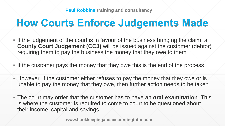#### How Courts Enforce Judgements Made

- If the judgement of the court is in favour of the business bringing the claim, a **County Court Judgement (CCJ)** will be issued against the customer (debtor) requiring them to pay the business the money that they owe to them
- **.** If the customer pays the money that they owe this is the end of the process
- **However, if the customer either refuses to pay the money that they owe or is** unable to pay the money that they owe, then further action needs to be taken
- The court may order that the customer has to have an **oral examination**. This is where the customer is required to come to court to be questioned about their income, capital and savings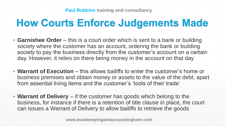### How Courts Enforce Judgements Made

- **Garnishee Order**  this is a court order which is sent to a bank or building society where the customer has an account, ordering the bank or building society to pay the business directly from the customer's account on a certain day. However, it relies on there being money in the account on that day
- **Warrant of Execution**  this allows bailiffs to enter the customer's home or business premises and obtain money or assets to the value of the debt, apart from essential living items and the customer's 'tools of their trade'
- **EXAGE Warrant of Delivery** if the customer has goods which belong to the business, for instance if there is a retention of title clause in place, the court can issues a Warrant of Delivery to allow bailiffs to retrieve the goods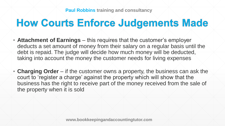#### How Courts Enforce Judgements Made

- **EXTERNIFY 12 THE ATTE ATTE:** Attachment of Earnings this requires that the customer's employer deducts a set amount of money from their salary on a regular basis until the debt is repaid. The judge will decide how much money will be deducted, taking into account the money the customer needs for living expenses
- **Charging Order**  if the customer owns a property, the business can ask the court to 'register a charge' against the property which will show that the business has the right to receive part of the money received from the sale of the property when it is sold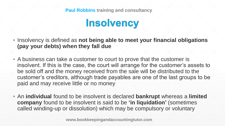#### **Insolvency**

**Example 1** Insolvency is defined as **not being able to meet your financial obligations (pay your debts) when they fall due**

▪ A business can take a customer to court to prove that the customer is insolvent. If this is the case, the court will arrange for the customer's assets to be sold off and the money received from the sale will be distributed to the customer's creditors, although trade payables are one of the last groups to be paid and may receive little or no money

▪ An **individual** found to be insolvent is declared **bankrupt** whereas a **limited company** found to be insolvent is said to be **'in liquidation'** (sometimes called winding-up or dissolution) which may be compulsory or voluntary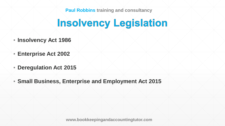## **Insolvency Legislation**

- **Insolvency Act 1986**
- **Enterprise Act 2002**
- **Deregulation Act 2015**
- **Small Business, Enterprise and Employment Act 2015**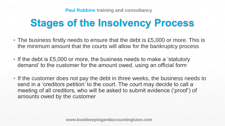#### **Stages of the Insolvency Process**

- The business firstly needs to ensure that the debt is £5,000 or more. This is the minimum amount that the courts will allow for the bankruptcy process
- If the debt is £5,000 or more, the business needs to make a 'statutory demand' to the customer for the amount owed, using an official form
- **If the customer does not pay the debt in three weeks, the business needs to** send in a 'creditors petition' to the court. The court may decide to call a meeting of all creditors, who will be asked to submit evidence ('proof') of amounts owed by the customer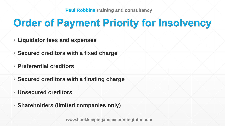## **Order of Payment Priority for Insolvency**

- **Liquidator fees and expenses**
- **Secured creditors with a fixed charge**
- **Preferential creditors**
- **Secured creditors with a floating charge**
- **Unsecured creditors**
- **Shareholders (limited companies only)**